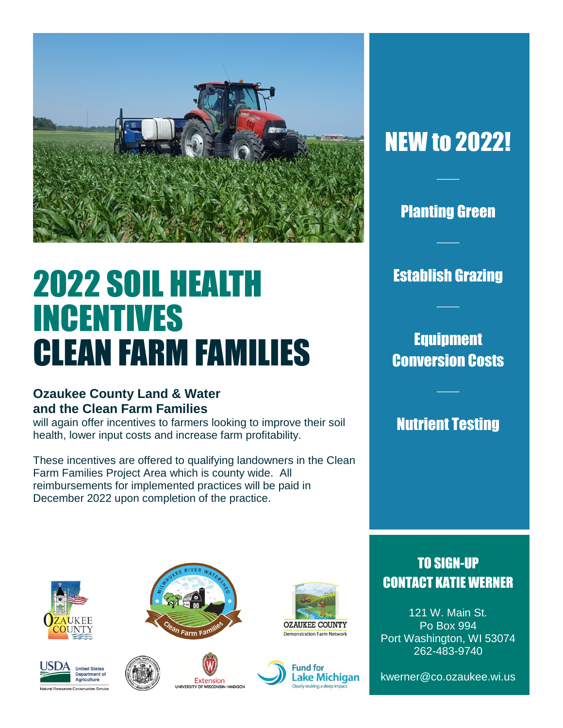

# 2022 SOIL HEALTH INCENTIVES CLEAN FARM FAMILIES

#### **Ozaukee County Land & Water and the Clean Farm Families**

will again offer incentives to farmers looking to improve their soil health, lower input costs and increase farm profitability.

These incentives are offered to qualifying landowners in the Clean Farm Families Project Area which is county wide. All reimbursements for implemented practices will be paid in December 2022 upon completion of the practice.

# NEW to 2022!

 $\overline{\phantom{a}}$ 

### Planting Green

 $\overline{\phantom{a}}$ 

Establish Grazing

 $\overline{\phantom{a}}$ 

## Equipment Conversion Costs

 $\overline{\phantom{a}}$ 

Nutrient Testing













## TO SIGN-UP CONTACT KATIE WERNER

121 W. Main St. Po Box 994 Port Washington, WI 53074 262-483-9740

kwerner@co.ozaukee.wi.us